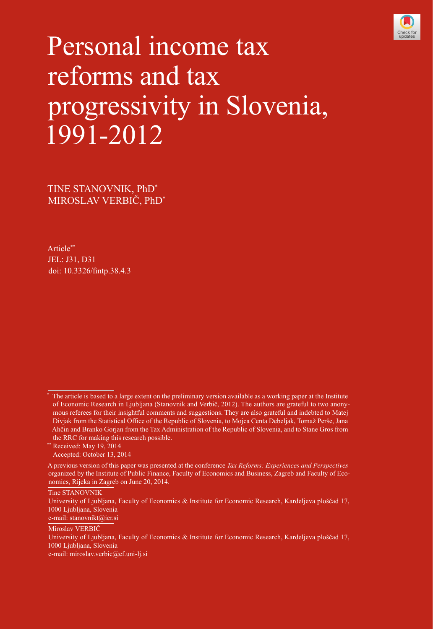

# Personal income tax reforms and tax progressivity in Slovenia, 1991-2012

TINE STANOVNIK, PhD\* MIROSLAV VERBIČ, PhD\*

Article\*\* JEL: J31, D31 doi: [10.3326/fintp.38.4.3](http://dx.doi.org/10.3326/fintp.38.3)

\*\* Received: May 19, 2014 Accepted: October 13, 2014

Tine STANOVNIK

e-mail: stanovnikt@ier.si

Miroslav VERBIČ

e-mail: miroslav.verbic@ef.uni-lj.si

<sup>\*</sup> The article is based to a large extent on the preliminary version available as a working paper at the Institute of Economic Research in Ljubljana (Stanovnik and Verbič, 2012). The authors are grateful to two anonymous referees for their insightful comments and suggestions. They are also grateful and indebted to Matej Divjak from the Statistical Office of the Republic of Slovenia, to Mojca Centa Debeljak, Tomaž Perše, Jana Ahčin and Branko Gorjan from the Tax Administration of the Republic of Slovenia, and to Stane Gros from the RRC for making this research possible.

A previous version of this paper was presented at the conference *Tax Reforms: Experiences and Perspectives* organized by the Institute of Public Finance, Faculty of Economics and Business, Zagreb and Faculty of Economics, Rijeka in Zagreb on June 20, 2014.

University of Ljubljana, Faculty of Economics & Institute for Economic Research, Kardeljeva ploščad 17, 1000 Ljubljana, Slovenia

University of Ljubljana, Faculty of Economics & Institute for Economic Research, Kardeljeva ploščad 17, 1000 Ljubljana, Slovenia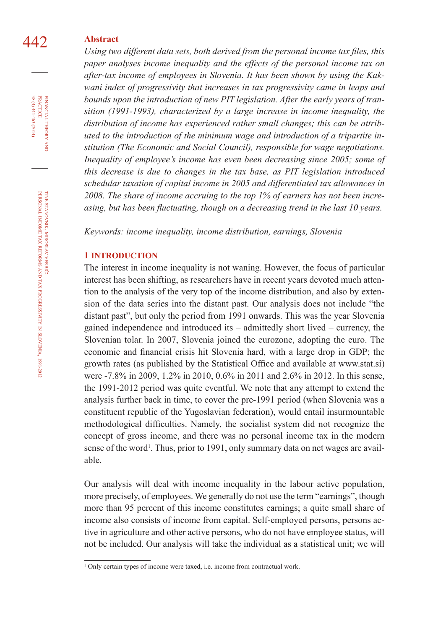## 442 **Abstract**

*Using two different data sets, both derived from the personal income tax files, this paper analyses income inequality and the effects of the personal income tax on after-tax income of employees in Slovenia. It has been shown by using the Kakwani index of progressivity that increases in tax progressivity came in leaps and bounds upon the introduction of new PIT legislation. After the early years of transition (1991-1993), characterized by a large increase in income inequality, the distribution of income has experienced rather small changes; this can be attributed to the introduction of the minimum wage and introduction of a tripartite institution (The Economic and Social Council), responsible for wage negotiations. Inequality of employee's income has even been decreasing since 2005; some of this decrease is due to changes in the tax base, as PIT legislation introduced schedular taxation of capital income in 2005 and differentiated tax allowances in 2008. The share of income accruing to the top 1% of earners has not been increasing, but has been fluctuating, though on a decreasing trend in the last 10 years.*

*Keywords: income inequality, income distribution, earnings, Slovenia*

### **1 INTRODUCTION**

The interest in income inequality is not waning. However, the focus of particular interest has been shifting, as researchers have in recent years devoted much attention to the analysis of the very top of the income distribution, and also by extension of the data series into the distant past. Our analysis does not include "the distant past", but only the period from 1991 onwards. This was the year Slovenia gained independence and introduced its – admittedly short lived – currency, the Slovenian tolar. In 2007, Slovenia joined the eurozone, adopting the euro. The economic and financial crisis hit Slovenia hard, with a large drop in GDP; the growth rates (as published by the Statistical Office and available at www.stat.si) were -7.8% in 2009, 1.2% in 2010, 0.6% in 2011 and 2.6% in 2012. In this sense, the 1991-2012 period was quite eventful. We note that any attempt to extend the analysis further back in time, to cover the pre-1991 period (when Slovenia was a constituent republic of the Yugoslavian federation), would entail insurmountable methodological difficulties. Namely, the socialist system did not recognize the concept of gross income, and there was no personal income tax in the modern sense of the word<sup>1</sup>. Thus, prior to 1991, only summary data on net wages are available.

Our analysis will deal with income inequality in the labour active population, more precisely, of employees. We generally do not use the term "earnings", though more than 95 percent of this income constitutes earnings; a quite small share of income also consists of income from capital. Self-employed persons, persons active in agriculture and other active persons, who do not have employee status, will not be included. Our analysis will take the individual as a statistical unit; we will

 $38(4)441-463(2014)$ FINANCIAL THEORY<br>PRACTICE 38 (4) 441-463 (2014) practice financial theory and

<sup>&</sup>lt;sup>1</sup> Only certain types of income were taxed, i.e. income from contractual work.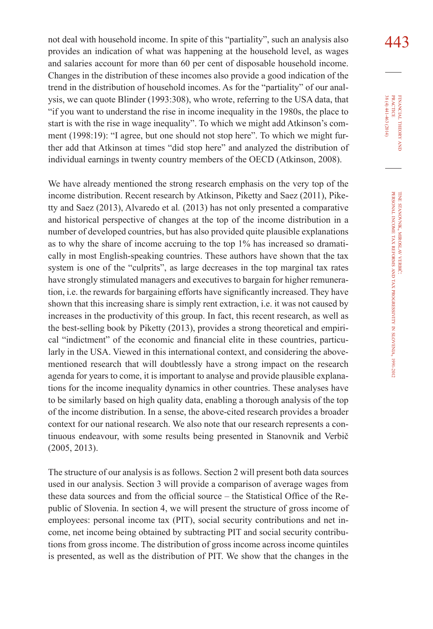not deal with household income. In spite of this "partiality", such an analysis also  $443$ provides an indication of what was happening at the household level, as wages and salaries account for more than 60 per cent of disposable household income. Changes in the distribution of these incomes also provide a good indication of the trend in the distribution of household incomes. As for the "partiality" of our analysis, we can quote Blinder (1993:308), who wrote, referring to the USA data, that "if you want to understand the rise in income inequality in the 1980s, the place to start is with the rise in wage inequality". To which we might add Atkinson's comment (1998:19): "I agree, but one should not stop here". To which we might further add that Atkinson at times "did stop here" and analyzed the distribution of individual earnings in twenty country members of the OECD (Atkinson, 2008).

We have already mentioned the strong research emphasis on the very top of the income distribution. Recent research by Atkinson, Piketty and Saez (2011), Piketty and Saez (2013), Alvaredo et al*.* (2013) has not only presented a comparative and historical perspective of changes at the top of the income distribution in a number of developed countries, but has also provided quite plausible explanations as to why the share of income accruing to the top 1% has increased so dramatically in most English-speaking countries. These authors have shown that the tax system is one of the "culprits", as large decreases in the top marginal tax rates have strongly stimulated managers and executives to bargain for higher remuneration, i.e. the rewards for bargaining efforts have significantly increased. They have shown that this increasing share is simply rent extraction, i.e. it was not caused by increases in the productivity of this group. In fact, this recent research, as well as the best-selling book by Piketty (2013), provides a strong theoretical and empirical "indictment" of the economic and financial elite in these countries, particularly in the USA. Viewed in this international context, and considering the abovementioned research that will doubtlessly have a strong impact on the research agenda for years to come, it is important to analyse and provide plausible explanations for the income inequality dynamics in other countries. These analyses have to be similarly based on high quality data, enabling a thorough analysis of the top of the income distribution. In a sense, the above-cited research provides a broader context for our national research. We also note that our research represents a continuous endeavour, with some results being presented in Stanovnik and Verbič (2005, 2013).

The structure of our analysis is as follows. Section 2 will present both data sources used in our analysis. Section 3 will provide a comparison of average wages from these data sources and from the official source – the Statistical Office of the Republic of Slovenia. In section 4, we will present the structure of gross income of employees: personal income tax (PIT), social security contributions and net income, net income being obtained by subtracting PIT and social security contributions from gross income. The distribution of gross income across income quintiles is presented, as well as the distribution of PIT. We show that the changes in the

38 (4) 441-463 (2014) FINANCIAL THEORY<br>PRACTICE 38 (4) 441-463 (2014) practice financial theory i<br>And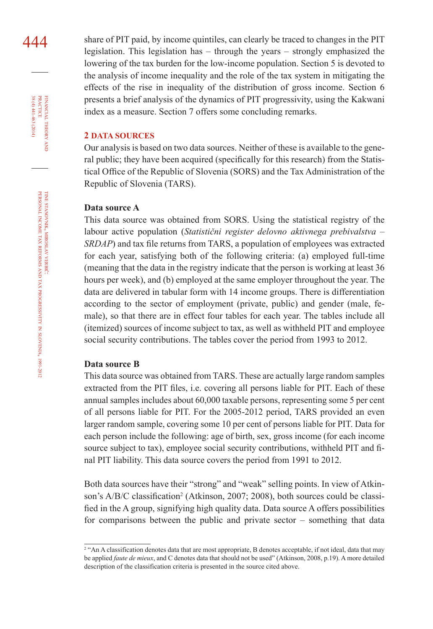444 share of PIT paid, by income quintiles, can clearly be traced to changes in the PIT legislation. This legislation has – through the years – strongly emphasized the lowering of the tax burden for the low-income population. Section 5 is devoted to the analysis of income inequality and the role of the tax system in mitigating the effects of the rise in inequality of the distribution of gross income. Section 6 presents a brief analysis of the dynamics of PIT progressivity, using the Kakwani index as a measure. Section 7 offers some concluding remarks.

### **2 DATA SOURCES**

Our analysis is based on two data sources. Neither of these is available to the general public; they have been acquired (specifically for this research) from the Statistical Office of the Republic of Slovenia (SORS) and the Tax Administration of the Republic of Slovenia (TARS).

### **Data source A**

This data source was obtained from SORS. Using the statistical registry of the labour active population (*Statistični register delovno aktivnega prebivalstva – SRDAP*) and tax file returns from TARS, a population of employees was extracted for each year, satisfying both of the following criteria: (a) employed full-time (meaning that the data in the registry indicate that the person is working at least 36 hours per week), and (b) employed at the same employer throughout the year. The data are delivered in tabular form with 14 income groups. There is differentiation according to the sector of employment (private, public) and gender (male, female), so that there are in effect four tables for each year. The tables include all (itemized) sources of income subject to tax, as well as withheld PIT and employee social security contributions. The tables cover the period from 1993 to 2012.

### **Data source B**

This data source was obtained from TARS. These are actually large random samples extracted from the PIT files, i.e. covering all persons liable for PIT. Each of these annual samples includes about 60,000 taxable persons, representing some 5 per cent of all persons liable for PIT. For the 2005-2012 period, TARS provided an even larger random sample, covering some 10 per cent of persons liable for PIT. Data for each person include the following: age of birth, sex, gross income (for each income source subject to tax), employee social security contributions, withheld PIT and final PIT liability. This data source covers the period from 1991 to 2012.

Both data sources have their "strong" and "weak" selling points. In view of Atkinson's A/B/C classification<sup>2</sup> (Atkinson, 2007; 2008), both sources could be classified in the A group, signifying high quality data. Data source A offers possibilities for comparisons between the public and private sector – something that data

financial

FINANCIAL THEORY<br>PRACTICE  $38(4)441-463(2014)$ 

38 (4) 441-463 (2014) practice

theory and

<sup>2</sup> "An A classification denotes data that are most appropriate, B denotes acceptable, if not ideal, data that may be applied *faute de mieux*, and C denotes data that should not be used" (Atkinson, 2008, p.19). A more detailed description of the classification criteria is presented in the source cited above.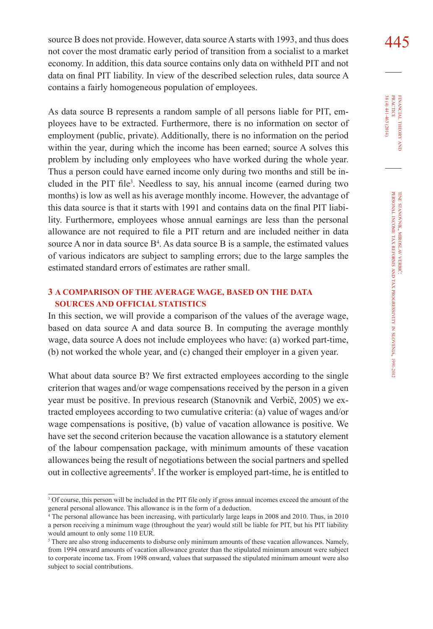source B does not provide. However, data source A starts with 1993, and thus does  $\frac{445}{ }$ not cover the most dramatic early period of transition from a socialist to a market economy. In addition, this data source contains only data on withheld PIT and not data on final PIT liability. In view of the described selection rules, data source A contains a fairly homogeneous population of employees.

As data source B represents a random sample of all persons liable for PIT, employees have to be extracted. Furthermore, there is no information on sector of employment (public, private). Additionally, there is no information on the period within the year, during which the income has been earned; source A solves this problem by including only employees who have worked during the whole year. Thus a person could have earned income only during two months and still be included in the PIT file<sup>3</sup>. Needless to say, his annual income (earned during two months) is low as well as his average monthly income. However, the advantage of this data source is that it starts with 1991 and contains data on the final PIT liability. Furthermore, employees whose annual earnings are less than the personal allowance are not required to file a PIT return and are included neither in data source A nor in data source  $B<sup>4</sup>$ . As data source B is a sample, the estimated values of various indicators are subject to sampling errors; due to the large samples the estimated standard errors of estimates are rather small.

### **3 A COMPARISON OF THE AVERAGE WAGE, BASED ON THE DATA SOURCES AND OFFICIAL STATISTICS**

In this section, we will provide a comparison of the values of the average wage, based on data source A and data source B. In computing the average monthly wage, data source A does not include employees who have: (a) worked part-time, (b) not worked the whole year, and (c) changed their employer in a given year.

What about data source B? We first extracted employees according to the single criterion that wages and/or wage compensations received by the person in a given year must be positive. In previous research (Stanovnik and Verbič, 2005) we extracted employees according to two cumulative criteria: (a) value of wages and/or wage compensations is positive, (b) value of vacation allowance is positive. We have set the second criterion because the vacation allowance is a statutory element of the labour compensation package, with minimum amounts of these vacation allowances being the result of negotiations between the social partners and spelled out in collective agreements<sup>5</sup>. If the worker is employed part-time, he is entitled to

<sup>3</sup> Of course, this person will be included in the PIT file only if gross annual incomes exceed the amount of the general personal allowance. This allowance is in the form of a deduction.

<sup>&</sup>lt;sup>4</sup> The personal allowance has been increasing, with particularly large leaps in 2008 and 2010. Thus, in 2010 a person receiving a minimum wage (throughout the year) would still be liable for PIT, but his PIT liability would amount to only some 110 EUR.

<sup>&</sup>lt;sup>5</sup> There are also strong inducements to disburse only minimum amounts of these vacation allowances. Namely, from 1994 onward amounts of vacation allowance greater than the stipulated minimum amount were subject to corporate income tax. From 1998 onward, values that surpassed the stipulated minimum amount were also subject to social contributions.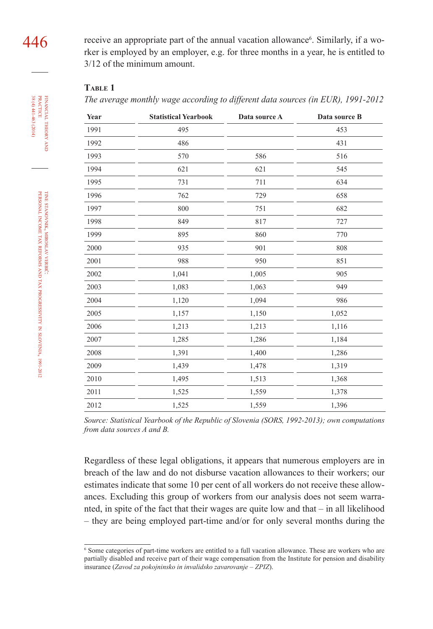receive an appropriate part of the annual vacation allowance<sup>6</sup>. Similarly, if a worker is employed by an employer, e.g. for three months in a year, he is entitled to 3/12 of the minimum amount.

### **Table 1**

*The average monthly wage according to different data sources (in EUR), 1991-2012*

| Year | <b>Statistical Yearbook</b> | Data source A | Data source B |
|------|-----------------------------|---------------|---------------|
| 1991 | 495                         |               | 453           |
| 1992 | 486                         |               | 431           |
| 1993 | 570                         | 586           | 516           |
| 1994 | 621                         | 621           | 545           |
| 1995 | 731                         | 711           | 634           |
| 1996 | 762                         | 729           | 658           |
| 1997 | 800                         | 751           | 682           |
| 1998 | 849                         | 817           | 727           |
| 1999 | 895                         | 860           | 770           |
| 2000 | 935                         | 901           | 808           |
| 2001 | 988                         | 950           | 851           |
| 2002 | 1,041                       | 1,005         | 905           |
| 2003 | 1,083                       | 1,063         | 949           |
| 2004 | 1,120                       | 1,094         | 986           |
| 2005 | 1,157                       | 1,150         | 1,052         |
| 2006 | 1,213                       | 1,213         | 1,116         |
| 2007 | 1,285                       | 1,286         | 1,184         |
| 2008 | 1,391                       | 1,400         | 1,286         |
| 2009 | 1,439                       | 1,478         | 1,319         |
| 2010 | 1,495                       | 1,513         | 1,368         |
| 2011 | 1,525                       | 1,559         | 1,378         |
| 2012 | 1,525                       | 1,559         | 1,396         |

*Source: Statistical Yearbook of the Republic of Slovenia (SORS, 1992-2013); own computations from data sources A and B.*

Regardless of these legal obligations, it appears that numerous employers are in breach of the law and do not disburse vacation allowances to their workers; our estimates indicate that some 10 per cent of all workers do not receive these allowances. Excluding this group of workers from our analysis does not seem warranted, in spite of the fact that their wages are quite low and that – in all likelihood – they are being employed part-time and/or for only several months during the

financial

 $38(4)441-463(2014)$ 

theory FINANCIAL THEORY AND PRACTICE 38 (4) 441-463 (2014) practice

<sup>6</sup> Some categories of part-time workers are entitled to a full vacation allowance. These are workers who are partially disabled and receive part of their wage compensation from the Institute for pension and disability insurance (*Zavod za pokojninsko in invalidsko zavarovanje – ZPIZ*).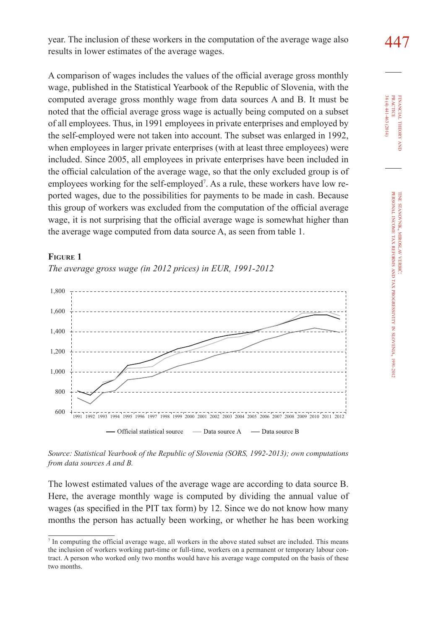447 year. The inclusion of these workers in the computation of the average wage also results in lower estimates of the average wages.

A comparison of wages includes the values of the official average gross monthly wage, published in the Statistical Yearbook of the Republic of Slovenia, with the computed average gross monthly wage from data sources A and B. It must be noted that the official average gross wage is actually being computed on a subset of all employees. Thus, in 1991 employees in private enterprises and employed by the self-employed were not taken into account. The subset was enlarged in 1992, when employees in larger private enterprises (with at least three employees) were included. Since 2005, all employees in private enterprises have been included in the official calculation of the average wage, so that the only excluded group is of employees working for the self-employed<sup>7</sup>. As a rule, these workers have low reported wages, due to the possibilities for payments to be made in cash. Because this group of workers was excluded from the computation of the official average wage, it is not surprising that the official average wage is somewhat higher than the average wage computed from data source A, as seen from table 1.

### **Figure 1**

*The average gross wage (in 2012 prices) in EUR, 1991-2012*





The lowest estimated values of the average wage are according to data source B. Here, the average monthly wage is computed by dividing the annual value of wages (as specified in the PIT tax form) by 12. Since we do not know how many months the person has actually been working, or whether he has been working

In computing the official average wage, all workers in the above stated subset are included. This means the inclusion of workers working part-time or full-time, workers on a permanent or temporary labour contract. A person who worked only two months would have his average wage computed on the basis of these two months.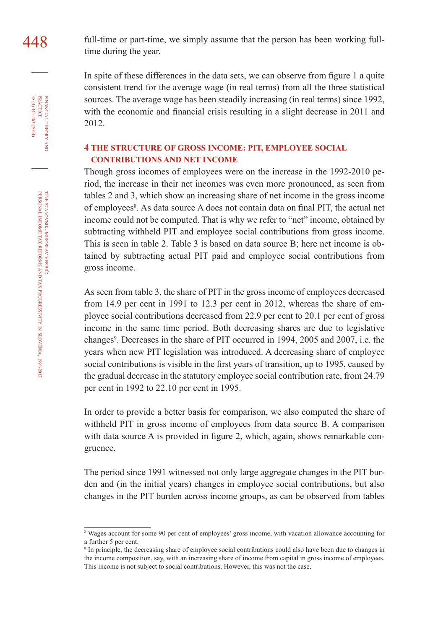448 full-time or part-time, we simply assume that the person has been working fulltime during the year.

> In spite of these differences in the data sets, we can observe from figure 1 a quite consistent trend for the average wage (in real terms) from all the three statistical sources. The average wage has been steadily increasing (in real terms) since 1992, with the economic and financial crisis resulting in a slight decrease in 2011 and 2012.

### **4 THE STRUCTURE OF GROSS INCOME: PIT, EMPLOYEE SOCIAL CONTRIBUTIONS AND NET INCOME**

Though gross incomes of employees were on the increase in the 1992-2010 period, the increase in their net incomes was even more pronounced, as seen from tables 2 and 3, which show an increasing share of net income in the gross income of employees<sup>8</sup>. As data source A does not contain data on final PIT, the actual net income could not be computed. That is why we refer to "net" income, obtained by subtracting withheld PIT and employee social contributions from gross income. This is seen in table 2. Table 3 is based on data source B; here net income is obtained by subtracting actual PIT paid and employee social contributions from gross income.

As seen from table 3, the share of PIT in the gross income of employees decreased from 14.9 per cent in 1991 to 12.3 per cent in 2012, whereas the share of employee social contributions decreased from 22.9 per cent to 20.1 per cent of gross income in the same time period. Both decreasing shares are due to legislative changes<sup>9</sup>. Decreases in the share of PIT occurred in 1994, 2005 and 2007, i.e. the years when new PIT legislation was introduced. A decreasing share of employee social contributions is visible in the first years of transition, up to 1995, caused by the gradual decrease in the statutory employee social contribution rate, from 24.79 per cent in 1992 to 22.10 per cent in 1995.

In order to provide a better basis for comparison, we also computed the share of withheld PIT in gross income of employees from data source B. A comparison with data source A is provided in figure 2, which, again, shows remarkable congruence.

The period since 1991 witnessed not only large aggregate changes in the PIT burden and (in the initial years) changes in employee social contributions, but also changes in the PIT burden across income groups, as can be observed from tables

financial

FINANCIAL THEORY<br>PRACTICE  $38(4)441-463(2014)$ 

38 (4) 441-463 (2014) practice

theory and

Wages account for some 90 per cent of employees' gross income, with vacation allowance accounting for a further 5 per cent.

<sup>9</sup> In principle, the decreasing share of employee social contributions could also have been due to changes in the income composition, say, with an increasing share of income from capital in gross income of employees. This income is not subject to social contributions. However, this was not the case.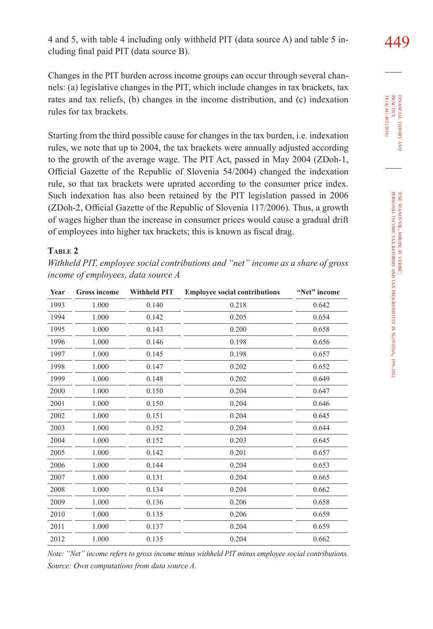4 and 5, with table 4 including only withheld PIT (data source A) and table 5 including final paid PIT (data source B).

Changes in the PIT burden across income groups can occur through several channels: (a) legislative changes in the PIT, which include changes in tax brackets, tax rates and tax reliefs, (b) changes in the income distribution, and (c) indexation rules for tax brackets.

Starting from the third possible cause for changes in the tax burden, i.e. indexation rules, we note that up to 2004, the tax brackets were annually adjusted according to the growth of the average wage. The PIT Act, passed in May 2004 (ZDoh-1, Official Gazette of the Republic of Slovenia 54/2004) changed the indexation rule, so that tax brackets were uprated according to the consumer price index. Such indexation has also been retained by the PIT legislation passed in 2006 (ZDoh-2, Official Gazette of the Republic of Slovenia 117/2006). Thus, a growth of wages higher than the increase in consumer prices would cause a gradual drift of employees into higher tax brackets; this is known as fiscal drag.

### **Table 2**

*Withheld PIT, employee social contributions and "net" income as a share of gross income of employees, data source A*

| Year | <b>Gross income</b> | <b>Withheld PIT</b> | <b>Employee social contributions</b> | "Net" income |
|------|---------------------|---------------------|--------------------------------------|--------------|
| 1993 | 1.000               | 0.140               | 0.218                                | 0.642        |
| 1994 | 1.000               | 0.142               | 0.205                                | 0.654        |
| 1995 | 1.000               | 0.143               | 0.200                                | 0.658        |
| 1996 | 1.000               | 0.146               | 0.198                                | 0.656        |
| 1997 | 1.000               | 0.145               | 0.198                                | 0.657        |
| 1998 | 1.000               | 0.147               | 0.202                                | 0.652        |
| 1999 | 1.000               | 0.148               | 0.202                                | 0.649        |
| 2000 | 1.000               | 0.150               | 0.204                                | 0.647        |
| 2001 | 1.000               | 0.150               | 0.204                                | 0.646        |
| 2002 | 1.000               | 0.151               | 0.204                                | 0.645        |
| 2003 | 1.000               | 0.152               | 0.204                                | 0.644        |
| 2004 | 1.000               | 0.152               | 0.203                                | 0.645        |
| 2005 | 1.000               | 0.142               | 0.201                                | 0.657        |
| 2006 | 1.000               | 0.144               | 0.204                                | 0.653        |
| 2007 | 1.000               | 0.131               | 0.204                                | 0.665        |
| 2008 | 1.000               | 0.134               | 0.204                                | 0.662        |
| 2009 | 1.000               | 0.136               | 0.206                                | 0.658        |
| 2010 | 1.000               | 0.135               | 0.206                                | 0.659        |
| 2011 | 1.000               | 0.137               | 0.204                                | 0.659        |
| 2012 | 1.000               | 0.135               | 0.204                                | 0.662        |

*Note: "Net" income refers to gross income minus withheld PIT minus employee social contributions. Source: Own computations from data source A.*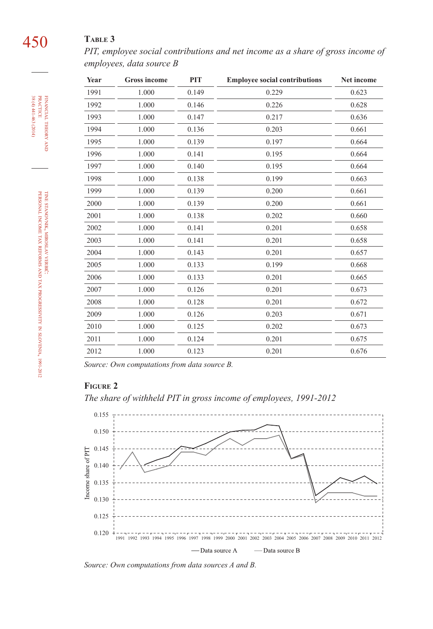# 450 **Table 3**

*PIT, employee social contributions and net income as a share of gross income of employees, data source B*

| Year | <b>Gross income</b> | PIT   | <b>Employee social contributions</b> | Net income |
|------|---------------------|-------|--------------------------------------|------------|
| 1991 | 1.000               | 0.149 | 0.229                                | 0.623      |
| 1992 | 1.000               | 0.146 | 0.226                                | 0.628      |
| 1993 | 1.000               | 0.147 | 0.217                                | 0.636      |
| 1994 | 1.000               | 0.136 | 0.203                                | 0.661      |
| 1995 | 1.000               | 0.139 | 0.197                                | 0.664      |
| 1996 | 1.000               | 0.141 | 0.195                                | 0.664      |
| 1997 | 1.000               | 0.140 | 0.195                                | 0.664      |
| 1998 | 1.000               | 0.138 | 0.199                                | 0.663      |
| 1999 | 1.000               | 0.139 | 0.200                                | 0.661      |
| 2000 | 1.000               | 0.139 | 0.200                                | 0.661      |
| 2001 | 1.000               | 0.138 | 0.202                                | 0.660      |
| 2002 | 1.000               | 0.141 | 0.201                                | 0.658      |
| 2003 | 1.000               | 0.141 | 0.201                                | 0.658      |
| 2004 | 1.000               | 0.143 | 0.201                                | 0.657      |
| 2005 | 1.000               | 0.133 | 0.199                                | 0.668      |
| 2006 | 1.000               | 0.133 | 0.201                                | 0.665      |
| 2007 | 1.000               | 0.126 | 0.201                                | 0.673      |
| 2008 | 1.000               | 0.128 | 0.201                                | 0.672      |
| 2009 | 1.000               | 0.126 | 0.203                                | 0.671      |
| 2010 | 1.000               | 0.125 | 0.202                                | 0.673      |
| 2011 | 1.000               | 0.124 | 0.201                                | 0.675      |
| 2012 | 1.000               | 0.123 | 0.201                                | 0.676      |

*Source: Own computations from data source B.*

### **Figure 2**

*The share of withheld PIT in gross income of employees, 1991-2012*



*Source: Own computations from data sources A and B.*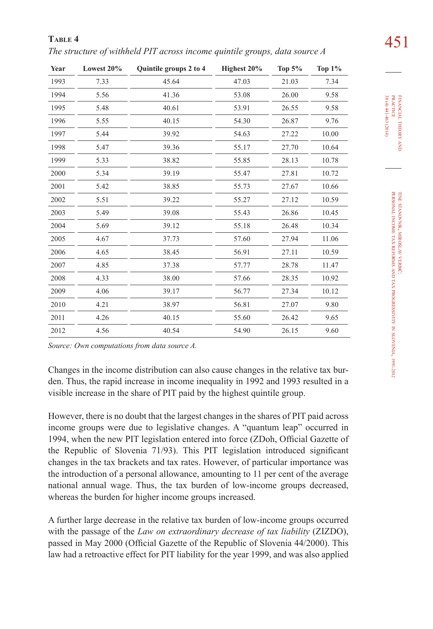451 **Table 4** *The structure of withheld PIT across income quintile groups, data source A*

| Year | Lowest 20% | Quintile groups 2 to 4 | Highest 20% | Top $5%$ | <b>Top 1%</b> |
|------|------------|------------------------|-------------|----------|---------------|
| 1993 | 7.33       | 45.64                  | 47.03       | 21.03    | 7.34          |
| 1994 | 5.56       | 41.36                  | 53.08       | 26.00    | 9.58          |
| 1995 | 5.48       | 40.61                  | 53.91       | 26.55    | 9.58          |
| 1996 | 5.55       | 40.15                  | 54.30       | 26.87    | 9.76          |
| 1997 | 5.44       | 39.92                  | 54.63       | 27.22    | 10.00         |
| 1998 | 5.47       | 39.36                  | 55.17       | 27.70    | 10.64         |
| 1999 | 5.33       | 38.82                  | 55.85       | 28.13    | 10.78         |
| 2000 | 5.34       | 39.19                  | 55.47       | 27.81    | 10.72         |
| 2001 | 5.42       | 38.85                  | 55.73       | 27.67    | 10.66         |
| 2002 | 5.51       | 39.22                  | 55.27       | 27.12    | 10.59         |
| 2003 | 5.49       | 39.08                  | 55.43       | 26.86    | 10.45         |
| 2004 | 5.69       | 39.12                  | 55.18       | 26.48    | 10.34         |
| 2005 | 4.67       | 37.73                  | 57.60       | 27.94    | 11.06         |
| 2006 | 4.65       | 38.45                  | 56.91       | 27.11    | 10.59         |
| 2007 | 4.85       | 37.38                  | 57.77       | 28.78    | 11.47         |
| 2008 | 4.33       | 38.00                  | 57.66       | 28.35    | 10.92         |
| 2009 | 4.06       | 39.17                  | 56.77       | 27.34    | 10.12         |
| 2010 | 4.21       | 38.97                  | 56.81       | 27.07    | 9.80          |
| 2011 | 4.26       | 40.15                  | 55.60       | 26.42    | 9.65          |
| 2012 | 4.56       | 40.54                  | 54.90       | 26.15    | 9.60          |

*Source: Own computations from data source A.*

Changes in the income distribution can also cause changes in the relative tax burden. Thus, the rapid increase in income inequality in 1992 and 1993 resulted in a visible increase in the share of PIT paid by the highest quintile group.

However, there is no doubt that the largest changes in the shares of PIT paid across income groups were due to legislative changes. A "quantum leap" occurred in 1994, when the new PIT legislation entered into force (ZDoh, Official Gazette of the Republic of Slovenia 71/93). This PIT legislation introduced significant changes in the tax brackets and tax rates. However, of particular importance was the introduction of a personal allowance, amounting to 11 per cent of the average national annual wage. Thus, the tax burden of low-income groups decreased, whereas the burden for higher income groups increased.

A further large decrease in the relative tax burden of low-income groups occurred with the passage of the *Law on extraordinary decrease of tax liability* (ZIZDO), passed in May 2000 (Official Gazette of the Republic of Slovenia 44/2000). This law had a retroactive effect for PIT liability for the year 1999, and was also applied financial

FINANCIAL THEORY PRACTICE 38 (4) 441-463 (2014)

38 (4) 441-463 (2014) practice

theory and **z** 

tine

personal

income tax reforms and tax stanovnik, miroslav

verbič:

progressivity

slovenia, 1991-2012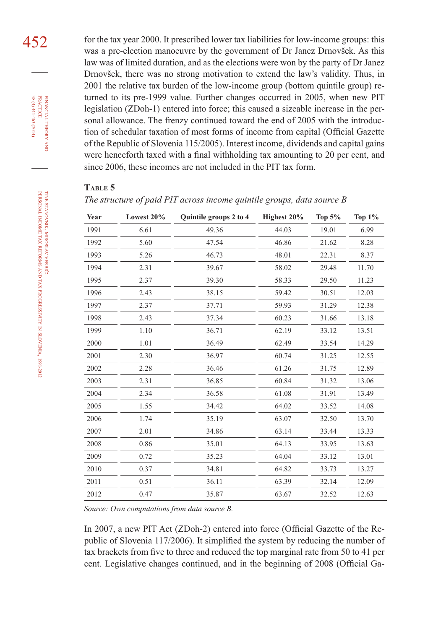452 for the tax year 2000. It prescribed lower tax liabilities for low-income groups: this was a pre-election manoeuvre by the government of Dr Janez Drnovšek. As this law was of limited duration, and as the elections were won by the party of Dr Janez Drnovšek, there was no strong motivation to extend the law's validity. Thus, in 2001 the relative tax burden of the low-income group (bottom quintile group) returned to its pre-1999 value. Further changes occurred in 2005, when new PIT legislation (ZDoh-1) entered into force; this caused a sizeable increase in the personal allowance. The frenzy continued toward the end of 2005 with the introduction of schedular taxation of most forms of income from capital (Official Gazette of the Republic of Slovenia 115/2005). Interest income, dividends and capital gains were henceforth taxed with a final withholding tax amounting to 20 per cent, and since 2006, these incomes are not included in the PIT tax form.

### **Table 5**

*The structure of paid PIT across income quintile groups, data source B*

| Year | Lowest 20% | Quintile groups 2 to 4 | Highest 20% | Top $5%$ | Top $1\%$ |
|------|------------|------------------------|-------------|----------|-----------|
| 1991 | 6.61       | 49.36                  | 44.03       | 19.01    | 6.99      |
| 1992 | 5.60       | 47.54                  | 46.86       | 21.62    | 8.28      |
| 1993 | 5.26       | 46.73                  | 48.01       | 22.31    | 8.37      |
| 1994 | 2.31       | 39.67                  | 58.02       | 29.48    | 11.70     |
| 1995 | 2.37       | 39.30                  | 58.33       | 29.50    | 11.23     |
| 1996 | 2.43       | 38.15                  | 59.42       | 30.51    | 12.03     |
| 1997 | 2.37       | 37.71                  | 59.93       | 31.29    | 12.38     |
| 1998 | 2.43       | 37.34                  | 60.23       | 31.66    | 13.18     |
| 1999 | 1.10       | 36.71                  | 62.19       | 33.12    | 13.51     |
| 2000 | 1.01       | 36.49                  | 62.49       | 33.54    | 14.29     |
| 2001 | 2.30       | 36.97                  | 60.74       | 31.25    | 12.55     |
| 2002 | 2.28       | 36.46                  | 61.26       | 31.75    | 12.89     |
| 2003 | 2.31       | 36.85                  | 60.84       | 31.32    | 13.06     |
| 2004 | 2.34       | 36.58                  | 61.08       | 31.91    | 13.49     |
| 2005 | 1.55       | 34.42                  | 64.02       | 33.52    | 14.08     |
| 2006 | 1.74       | 35.19                  | 63.07       | 32.50    | 13.70     |
| 2007 | 2.01       | 34.86                  | 63.14       | 33.44    | 13.33     |
| 2008 | 0.86       | 35.01                  | 64.13       | 33.95    | 13.63     |
| 2009 | 0.72       | 35.23                  | 64.04       | 33.12    | 13.01     |
| 2010 | 0.37       | 34.81                  | 64.82       | 33.73    | 13.27     |
| 2011 | 0.51       | 36.11                  | 63.39       | 32.14    | 12.09     |
| 2012 | 0.47       | 35.87                  | 63.67       | 32.52    | 12.63     |

*Source: Own computations from data source B.*

In 2007, a new PIT Act (ZDoh-2) entered into force (Official Gazette of the Republic of Slovenia 117/2006). It simplified the system by reducing the number of tax brackets from five to three and reduced the top marginal rate from 50 to 41 per cent. Legislative changes continued, and in the beginning of 2008 (Official Ga-

financial

FINANCIAL THEORY PRACTICE  $38(4)441-463(2014)$ 

38 (4) 441-463 (2014) practice

theory and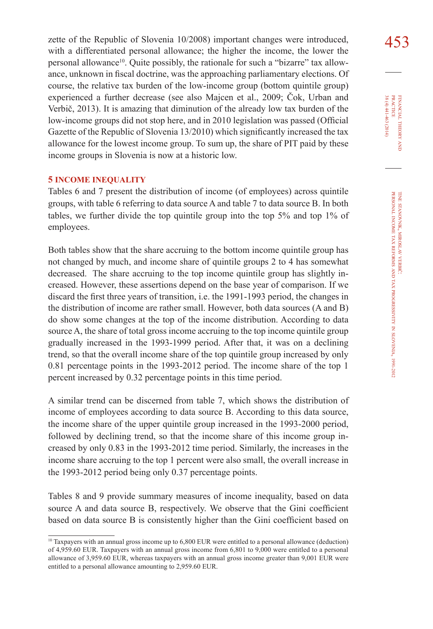zette of the Republic of Slovenia 10/2008) important changes were introduced,  $\sqrt{453}$ with a differentiated personal allowance; the higher the income, the lower the personal allowance<sup>10</sup>. Quite possibly, the rationale for such a "bizarre" tax allowance, unknown in fiscal doctrine, was the approaching parliamentary elections. Of course, the relative tax burden of the low-income group (bottom quintile group) experienced a further decrease (see also Majcen et al., 2009; Čok, Urban and Verbič, 2013). It is amazing that diminution of the already low tax burden of the low-income groups did not stop here, and in 2010 legislation was passed (Official Gazette of the Republic of Slovenia 13/2010) which significantly increased the tax allowance for the lowest income group. To sum up, the share of PIT paid by these income groups in Slovenia is now at a historic low.

### **5 INCOME INEQUALITY**

Tables 6 and 7 present the distribution of income (of employees) across quintile groups, with table 6 referring to data source A and table 7 to data source B. In both tables, we further divide the top quintile group into the top 5% and top 1% of employees.

Both tables show that the share accruing to the bottom income quintile group has not changed by much, and income share of quintile groups 2 to 4 has somewhat decreased. The share accruing to the top income quintile group has slightly increased. However, these assertions depend on the base year of comparison. If we discard the first three years of transition, i.e. the 1991-1993 period, the changes in the distribution of income are rather small. However, both data sources (A and B) do show some changes at the top of the income distribution. According to data source A, the share of total gross income accruing to the top income quintile group gradually increased in the 1993-1999 period. After that, it was on a declining trend, so that the overall income share of the top quintile group increased by only 0.81 percentage points in the 1993-2012 period. The income share of the top 1 percent increased by 0.32 percentage points in this time period.

A similar trend can be discerned from table 7, which shows the distribution of income of employees according to data source B. According to this data source, the income share of the upper quintile group increased in the 1993-2000 period, followed by declining trend, so that the income share of this income group increased by only 0.83 in the 1993-2012 time period. Similarly, the increases in the income share accruing to the top 1 percent were also small, the overall increase in the 1993-2012 period being only 0.37 percentage points.

Tables 8 and 9 provide summary measures of income inequality, based on data source A and data source B, respectively. We observe that the Gini coefficient based on data source B is consistently higher than the Gini coefficient based on

<sup>10</sup> Taxpayers with an annual gross income up to 6,800 EUR were entitled to a personal allowance (deduction) of 4,959.60 EUR. Taxpayers with an annual gross income from 6,801 to 9,000 were entitled to a personal allowance of 3,959.60 EUR, whereas taxpayers with an annual gross income greater than 9,001 EUR were entitled to a personal allowance amounting to 2,959.60 EUR.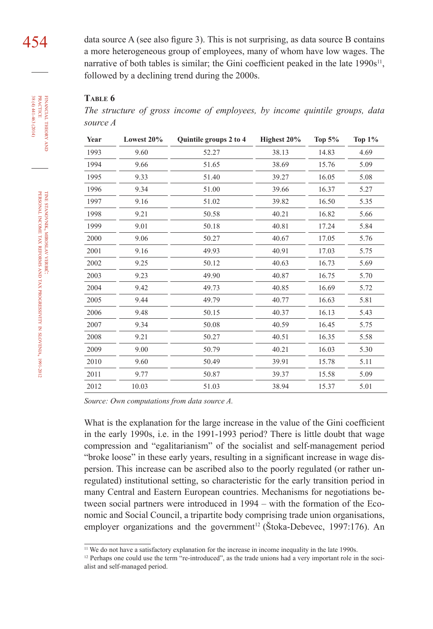data source A (see also figure 3). This is not surprising, as data source B contains a more heterogeneous group of employees, many of whom have low wages. The narrative of both tables is similar; the Gini coefficient peaked in the late  $1990s<sup>11</sup>$ , followed by a declining trend during the 2000s.

### **Table 6**

*The structure of gross income of employees, by income quintile groups, data source A*

| Year | Lowest 20% | Quintile groups 2 to 4 | Highest 20% | Top $5%$ | Top $1\%$ |
|------|------------|------------------------|-------------|----------|-----------|
| 1993 | 9.60       | 52.27                  | 38.13       | 14.83    | 4.69      |
| 1994 | 9.66       | 51.65                  | 38.69       | 15.76    | 5.09      |
| 1995 | 9.33       | 51.40                  | 39.27       | 16.05    | 5.08      |
| 1996 | 9.34       | 51.00                  | 39.66       | 16.37    | 5.27      |
| 1997 | 9.16       | 51.02                  | 39.82       | 16.50    | 5.35      |
| 1998 | 9.21       | 50.58                  | 40.21       | 16.82    | 5.66      |
| 1999 | 9.01       | 50.18                  | 40.81       | 17.24    | 5.84      |
| 2000 | 9.06       | 50.27                  | 40.67       | 17.05    | 5.76      |
| 2001 | 9.16       | 49.93                  | 40.91       | 17.03    | 5.75      |
| 2002 | 9.25       | 50.12                  | 40.63       | 16.73    | 5.69      |
| 2003 | 9.23       | 49.90                  | 40.87       | 16.75    | 5.70      |
| 2004 | 9.42       | 49.73                  | 40.85       | 16.69    | 5.72      |
| 2005 | 9.44       | 49.79                  | 40.77       | 16.63    | 5.81      |
| 2006 | 9.48       | 50.15                  | 40.37       | 16.13    | 5.43      |
| 2007 | 9.34       | 50.08                  | 40.59       | 16.45    | 5.75      |
| 2008 | 9.21       | 50.27                  | 40.51       | 16.35    | 5.58      |
| 2009 | 9.00       | 50.79                  | 40.21       | 16.03    | 5.30      |
| 2010 | 9.60       | 50.49                  | 39.91       | 15.78    | 5.11      |
| 2011 | 9.77       | 50.87                  | 39.37       | 15.58    | 5.09      |
| 2012 | 10.03      | 51.03                  | 38.94       | 15.37    | 5.01      |

*Source: Own computations from data source A.*

What is the explanation for the large increase in the value of the Gini coefficient in the early 1990s, i.e. in the 1991-1993 period? There is little doubt that wage compression and "egalitarianism" of the socialist and self-management period "broke loose" in these early years, resulting in a significant increase in wage dispersion. This increase can be ascribed also to the poorly regulated (or rather unregulated) institutional setting, so characteristic for the early transition period in many Central and Eastern European countries. Mechanisms for negotiations between social partners were introduced in 1994 – with the formation of the Economic and Social Council, a tripartite body comprising trade union organisations, employer organizations and the government<sup>12</sup> (Štoka-Debevec, 1997:176). An

454

and

<sup>11</sup> We do not have a satisfactory explanation for the increase in income inequality in the late 1990s.

<sup>&</sup>lt;sup>12</sup> Perhaps one could use the term "re-introduced", as the trade unions had a very important role in the socialist and self-managed period.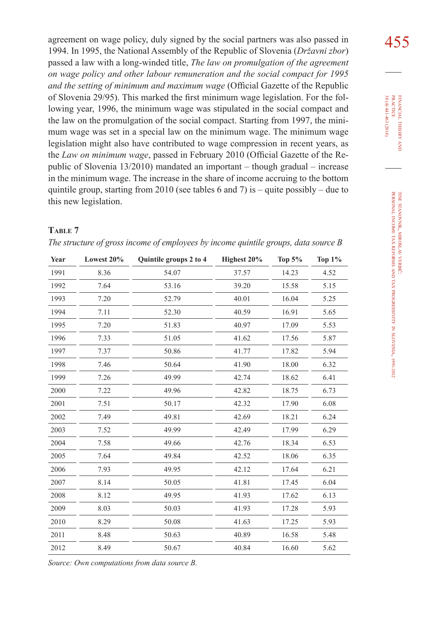agreement on wage policy, duly signed by the social partners was also passed in 1994. In 1995, the National Assembly of the Republic of Slovenia (*Državni zbor*) passed a law with a long-winded title, *The law on promulgation of the agreement on wage policy and other labour remuneration and the social compact for 1995 and the setting of minimum and maximum wage* (Official Gazette of the Republic of Slovenia 29/95). This marked the first minimum wage legislation. For the following year, 1996, the minimum wage was stipulated in the social compact and the law on the promulgation of the social compact. Starting from 1997, the minimum wage was set in a special law on the minimum wage. The minimum wage legislation might also have contributed to wage compression in recent years, as the *Law on minimum wage*, passed in February 2010 (Official Gazette of the Republic of Slovenia 13/2010) mandated an important – though gradual – increase in the minimum wage. The increase in the share of income accruing to the bottom quintile group, starting from 2010 (see tables 6 and 7) is – quite possibly – due to this new legislation.

### **Table 7**

| Year | Lowest 20% | Quintile groups 2 to 4 | Highest 20% | Top $5%$ | Top $1\%$ |
|------|------------|------------------------|-------------|----------|-----------|
| 1991 | 8.36       | 54.07                  | 37.57       | 14.23    | 4.52      |
| 1992 | 7.64       | 53.16                  | 39.20       | 15.58    | 5.15      |
| 1993 | 7.20       | 52.79                  | 40.01       | 16.04    | 5.25      |
| 1994 | 7.11       | 52.30                  | 40.59       | 16.91    | 5.65      |
| 1995 | 7.20       | 51.83                  | 40.97       | 17.09    | 5.53      |
| 1996 | 7.33       | 51.05                  | 41.62       | 17.56    | 5.87      |
| 1997 | 7.37       | 50.86                  | 41.77       | 17.82    | 5.94      |
| 1998 | 7.46       | 50.64                  | 41.90       | 18.00    | 6.32      |
| 1999 | 7.26       | 49.99                  | 42.74       | 18.62    | 6.41      |
| 2000 | 7.22       | 49.96                  | 42.82       | 18.75    | 6.73      |
| 2001 | 7.51       | 50.17                  | 42.32       | 17.90    | 6.08      |
| 2002 | 7.49       | 49.81                  | 42.69       | 18.21    | 6.24      |
| 2003 | 7.52       | 49.99                  | 42.49       | 17.99    | 6.29      |
| 2004 | 7.58       | 49.66                  | 42.76       | 18.34    | 6.53      |
| 2005 | 7.64       | 49.84                  | 42.52       | 18.06    | 6.35      |
| 2006 | 7.93       | 49.95                  | 42.12       | 17.64    | 6.21      |
| 2007 | 8.14       | 50.05                  | 41.81       | 17.45    | 6.04      |
| 2008 | 8.12       | 49.95                  | 41.93       | 17.62    | 6.13      |
| 2009 | 8.03       | 50.03                  | 41.93       | 17.28    | 5.93      |
| 2010 | 8.29       | 50.08                  | 41.63       | 17.25    | 5.93      |
| 2011 | 8.48       | 50.63                  | 40.89       | 16.58    | 5.48      |
| 2012 | 8.49       | 50.67                  | 40.84       | 16.60    | 5.62      |

*Source: Own computations from data source B.*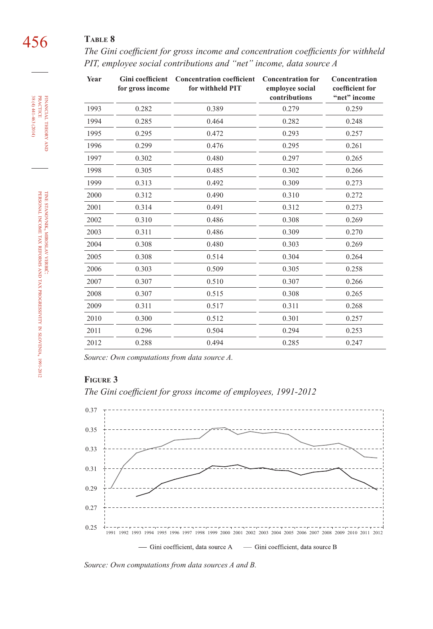*The Gini coefficient for gross income and concentration coefficients for withheld PIT, employee social contributions and "net" income, data source A*

| Year | for gross income | Gini coefficient Concentration coefficient<br>for withheld PIT | <b>Concentration for</b><br>employee social<br>contributions | Concentration<br>coefficient for<br>"net" income |
|------|------------------|----------------------------------------------------------------|--------------------------------------------------------------|--------------------------------------------------|
| 1993 | 0.282            | 0.389                                                          | 0.279                                                        | 0.259                                            |
| 1994 | 0.285            | 0.464                                                          | 0.282                                                        | 0.248                                            |
| 1995 | 0.295            | 0.472                                                          | 0.293                                                        | 0.257                                            |
| 1996 | 0.299            | 0.476                                                          | 0.295                                                        | 0.261                                            |
| 1997 | 0.302            | 0.480                                                          | 0.297                                                        | 0.265                                            |
| 1998 | 0.305            | 0.485                                                          | 0.302                                                        | 0.266                                            |
| 1999 | 0.313            | 0.492                                                          | 0.309                                                        | 0.273                                            |
| 2000 | 0.312            | 0.490                                                          | 0.310                                                        | 0.272                                            |
| 2001 | 0.314            | 0.491                                                          | 0.312                                                        | 0.273                                            |
| 2002 | 0.310            | 0.486                                                          | 0.308                                                        | 0.269                                            |
| 2003 | 0.311            | 0.486                                                          | 0.309                                                        | 0.270                                            |
| 2004 | 0.308            | 0.480                                                          | 0.303                                                        | 0.269                                            |
| 2005 | 0.308            | 0.514                                                          | 0.304                                                        | 0.264                                            |
| 2006 | 0.303            | 0.509                                                          | 0.305                                                        | 0.258                                            |
| 2007 | 0.307            | 0.510                                                          | 0.307                                                        | 0.266                                            |
| 2008 | 0.307            | 0.515                                                          | 0.308                                                        | 0.265                                            |
| 2009 | 0.311            | 0.517                                                          | 0.311                                                        | 0.268                                            |
| 2010 | 0.300            | 0.512                                                          | 0.301                                                        | 0.257                                            |
| 2011 | 0.296            | 0.504                                                          | 0.294                                                        | 0.253                                            |
| 2012 | 0.288            | 0.494                                                          | 0.285                                                        | 0.247                                            |

*Source: Own computations from data source A.*

### **Figure 3**

*The Gini coefficient for gross income of employees, 1991-2012*



*Source: Own computations from data sources A and B.*

financial theory FINANCIAL THEORY AND<br>PRACTICE<br>38 (4) 441-463 (2014) 38 (4) 441-463 (2014) practice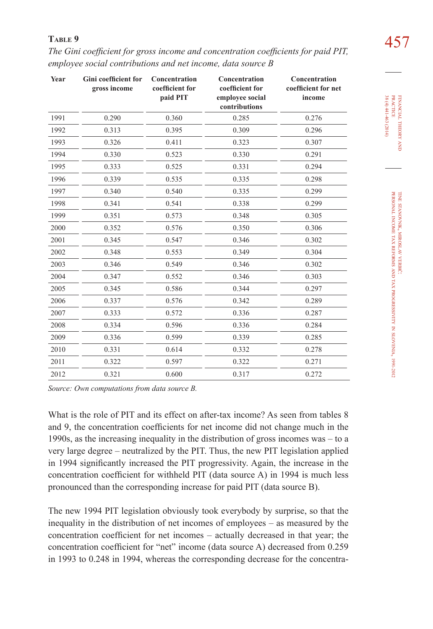| TABLE 9                                                                            | 457 |
|------------------------------------------------------------------------------------|-----|
| The Gini coefficient for gross income and concentration coefficients for paid PIT, |     |
| employee social contributions and net income, data source $B$                      |     |

| Year | <b>Gini coefficient for</b><br>gross income | Concentration<br>coefficient for<br>paid PIT | Concentration<br>coefficient for<br>employee social<br>contributions | Concentration<br>coefficient for net<br>income |
|------|---------------------------------------------|----------------------------------------------|----------------------------------------------------------------------|------------------------------------------------|
| 1991 | 0.290                                       | 0.360                                        | 0.285                                                                | 0.276                                          |
| 1992 | 0.313                                       | 0.395                                        | 0.309                                                                | 0.296                                          |
| 1993 | 0.326                                       | 0.411                                        | 0.323                                                                | 0.307                                          |
| 1994 | 0.330                                       | 0.523                                        | 0.330                                                                | 0.291                                          |
| 1995 | 0.333                                       | 0.525                                        | 0.331                                                                | 0.294                                          |
| 1996 | 0.339                                       | 0.535                                        | 0.335                                                                | 0.298                                          |
| 1997 | 0.340                                       | 0.540                                        | 0.335                                                                | 0.299                                          |
| 1998 | 0.341                                       | 0.541                                        | 0.338                                                                | 0.299                                          |
| 1999 | 0.351                                       | 0.573                                        | 0.348                                                                | 0.305                                          |
| 2000 | 0.352                                       | 0.576                                        | 0.350                                                                | 0.306                                          |
| 2001 | 0.345                                       | 0.547                                        | 0.346                                                                | 0.302                                          |
| 2002 | 0.348                                       | 0.553                                        | 0.349                                                                | 0.304                                          |
| 2003 | 0.346                                       | 0.549                                        | 0.346                                                                | 0.302                                          |
| 2004 | 0.347                                       | 0.552                                        | 0.346                                                                | 0.303                                          |
| 2005 | 0.345                                       | 0.586                                        | 0.344                                                                | 0.297                                          |
| 2006 | 0.337                                       | 0.576                                        | 0.342                                                                | 0.289                                          |
| 2007 | 0.333                                       | 0.572                                        | 0.336                                                                | 0.287                                          |
| 2008 | 0.334                                       | 0.596                                        | 0.336                                                                | 0.284                                          |
| 2009 | 0.336                                       | 0.599                                        | 0.339                                                                | 0.285                                          |
| 2010 | 0.331                                       | 0.614                                        | 0.332                                                                | 0.278                                          |
| 2011 | 0.322                                       | 0.597                                        | 0.322                                                                | 0.271                                          |
| 2012 | 0.321                                       | 0.600                                        | 0.317                                                                | 0.272                                          |

*Source: Own computations from data source B.*

What is the role of PIT and its effect on after-tax income? As seen from tables 8 and 9, the concentration coefficients for net income did not change much in the 1990s, as the increasing inequality in the distribution of gross incomes was – to a very large degree – neutralized by the PIT. Thus, the new PIT legislation applied in 1994 significantly increased the PIT progressivity. Again, the increase in the concentration coefficient for withheld PIT (data source A) in 1994 is much less pronounced than the corresponding increase for paid PIT (data source B).

The new 1994 PIT legislation obviously took everybody by surprise, so that the inequality in the distribution of net incomes of employees – as measured by the concentration coefficient for net incomes – actually decreased in that year; the concentration coefficient for "net" income (data source A) decreased from 0.259 in 1993 to 0.248 in 1994, whereas the corresponding decrease for the concentra38 (4) 441-463 (2014) **PRACTICE** 38 (4) 441-463 (2014) practice FINANCIAL THEORY financial theory i<br>And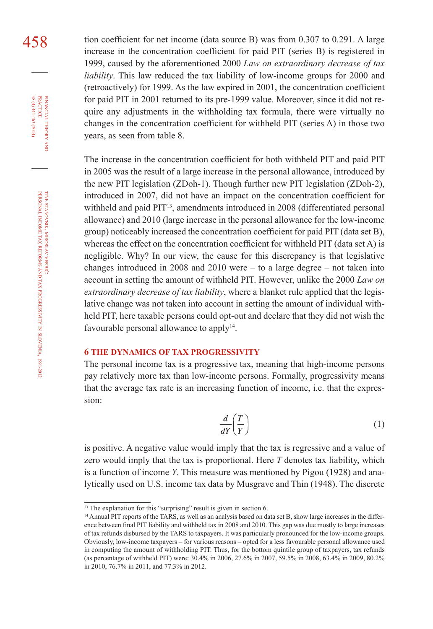458 tion coefficient for net income (data source B) was from 0.307 to 0.291. A large increase in the concentration coefficient for paid PIT (series B) is registered in 1999, caused by the aforementioned 2000 *Law on extraordinary decrease of tax liability*. This law reduced the tax liability of low-income groups for 2000 and (retroactively) for 1999. As the law expired in 2001, the concentration coefficient for paid PIT in 2001 returned to its pre-1999 value. Moreover, since it did not require any adjustments in the withholding tax formula, there were virtually no changes in the concentration coefficient for withheld PIT (series A) in those two years, as seen from table 8.

> The increase in the concentration coefficient for both withheld PIT and paid PIT in 2005 was the result of a large increase in the personal allowance, introduced by the new PIT legislation (ZDoh-1). Though further new PIT legislation (ZDoh-2), introduced in 2007, did not have an impact on the concentration coefficient for withheld and paid PIT<sup>13</sup>, amendments introduced in 2008 (differentiated personal allowance) and 2010 (large increase in the personal allowance for the low-income group) noticeably increased the concentration coefficient for paid PIT (data set B), whereas the effect on the concentration coefficient for withheld PIT (data set A) is negligible. Why? In our view, the cause for this discrepancy is that legislative changes introduced in 2008 and 2010 were – to a large degree – not taken into account in setting the amount of withheld PIT. However, unlike the 2000 *Law on extraordinary decrease of tax liability*, where a blanket rule applied that the legislative change was not taken into account in setting the amount of individual withheld PIT, here taxable persons could opt-out and declare that they did not wish the favourable personal allowance to apply<sup>14</sup>.

### **6 THE DYNAMICS OF TAX PROGRESSIVITY**

The personal income tax is a progressive tax, meaning that high-income persons pay relatively more tax than low-income persons. Formally, progressivity means that the average tax rate is an increasing function of income, i.e. that the expression:

$$
\frac{d}{dY}\left(\frac{T}{Y}\right) \tag{1}
$$

is positive. A negative value would imply that the tax is regressive and a value of zero would imply that the tax is proportional. Here *T* denotes tax liability, which is a function of income *Y*. This measure was mentioned by Pigou (1928) and analytically used on U.S. income tax data by Musgrave and Thin (1948). The discrete

financial

FINANCIAL THEORY<br>PRACTICE  $38(4)441-463(2014)$ 

38 (4) 441-463 (2014) practice

theory and

<sup>&</sup>lt;sup>13</sup> The explanation for this "surprising" result is given in section 6.

<sup>&</sup>lt;sup>14</sup> Annual PIT reports of the TARS, as well as an analysis based on data set B, show large increases in the difference between final PIT liability and withheld tax in 2008 and 2010. This gap was due mostly to large increases of tax refunds disbursed by the TARS to taxpayers. It was particularly pronounced for the low-income groups. Obviously, low-income taxpayers – for various reasons – opted for a less favourable personal allowance used in computing the amount of withholding PIT. Thus, for the bottom quintile group of taxpayers, tax refunds (as percentage of withheld PIT) were: 30.4% in 2006, 27.6% in 2007, 59.5% in 2008, 63.4% in 2009, 80.2% in 2010, 76.7% in 2011, and 77.3% in 2012.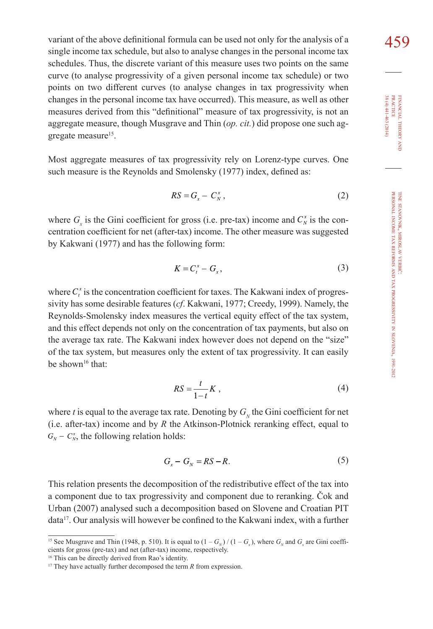variant of the above definitional formula can be used not only for the analysis of a  $\frac{459}{9}$ single income tax schedule, but also to analyse changes in the personal income tax schedules. Thus, the discrete variant of this measure uses two points on the same curve (to analyse progressivity of a given personal income tax schedule) or two points on two different curves (to analyse changes in tax progressivity when changes in the personal income tax have occurred). This measure, as well as other measures derived from this "definitional" measure of tax progressivity, is not an aggregate measure, though Musgrave and Thin (*op. cit.*) did propose one such aggregate measure<sup>15</sup>.

Most aggregate measures of tax progressivity rely on Lorenz-type curves. One such measure is the Reynolds and Smolensky (1977) index, defined as:

$$
RS = G_x - C_N^x, \qquad (2)
$$

where  $G_x$  is the Gini coefficient for gross (i.e. pre-tax) income and  $C_x^x$  is the concentration coefficient for net (after-tax) income. The other measure was suggested by Kakwani (1977) and has the following form:

$$
K = C_t^x - G_x, \tag{3}
$$

where  $C_i^x$  is the concentration coefficient for taxes. The Kakwani index of progressivity has some desirable features (*cf*. Kakwani, 1977; Creedy, 1999). Namely, the Reynolds-Smolensky index measures the vertical equity effect of the tax system, and this effect depends not only on the concentration of tax payments, but also on the average tax rate. The Kakwani index however does not depend on the "size" of the tax system, but measures only the extent of tax progressivity. It can easily be shown<sup>16</sup> that:

$$
RS = \frac{t}{1-t}K\,,\tag{4}
$$

where *t* is equal to the average tax rate. Denoting by  $G<sub>N</sub>$  the Gini coefficient for net (i.e. after-tax) income and by *R* the Atkinson-Plotnick reranking effect, equal to  $G_N - C_N^*$ , the following relation holds:

$$
G_x - G_y = RS - R. \tag{5}
$$

This relation presents the decomposition of the redistributive effect of the tax into a component due to tax progressivity and component due to reranking. Čok and Urban (2007) analysed such a decomposition based on Slovene and Croatian PIT data17. Our analysis will however be confined to the Kakwani index, with a further

16 This can be directly derived from Rao's identity.

<sup>&</sup>lt;sup>15</sup> See Musgrave and Thin (1948, p. 510). It is equal to  $(1 - G<sub>x</sub>) / (1 - G<sub>x</sub>)$ , where  $G<sub>x</sub>$  and  $G<sub>x</sub>$  are Gini coefficients for gross (pre-tax) and net (after-tax) income, respectively.

<sup>&</sup>lt;sup>17</sup> They have actually further decomposed the term *R* from expression.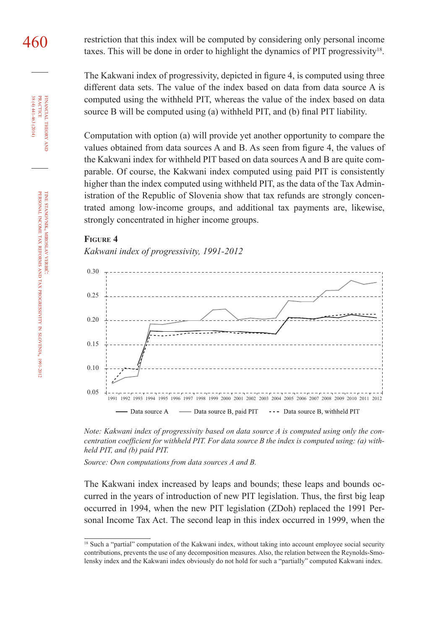460 restriction that this index will be computed by considering only personal income taxes. This will be done in order to highlight the dynamics of PIT progressivity $18$ .

> The Kakwani index of progressivity, depicted in figure 4, is computed using three different data sets. The value of the index based on data from data source A is computed using the withheld PIT, whereas the value of the index based on data source B will be computed using (a) withheld PIT, and (b) final PIT liability.

> Computation with option (a) will provide yet another opportunity to compare the values obtained from data sources A and B. As seen from figure 4, the values of the Kakwani index for withheld PIT based on data sources A and B are quite comparable. Of course, the Kakwani index computed using paid PIT is consistently higher than the index computed using withheld PIT, as the data of the Tax Administration of the Republic of Slovenia show that tax refunds are strongly concentrated among low-income groups, and additional tax payments are, likewise, strongly concentrated in higher income groups.



*Kakwani index of progressivity, 1991-2012*





*Source: Own computations from data sources A and B.*

The Kakwani index increased by leaps and bounds; these leaps and bounds occurred in the years of introduction of new PIT legislation. Thus, the first big leap occurred in 1994, when the new PIT legislation (ZDoh) replaced the 1991 Personal Income Tax Act. The second leap in this index occurred in 1999, when the

financial

FINANCIAL THEORY PRACTICE  $38(4)441-463(2014)$ 

38 (4) 441-463 (2014) practice

theory

in

slovenia, 1991-2012

<sup>&</sup>lt;sup>18</sup> Such a "partial" computation of the Kakwani index, without taking into account employee social security contributions, prevents the use of any decomposition measures. Also, the relation between the Reynolds-Smolensky index and the Kakwani index obviously do not hold for such a "partially" computed Kakwani index.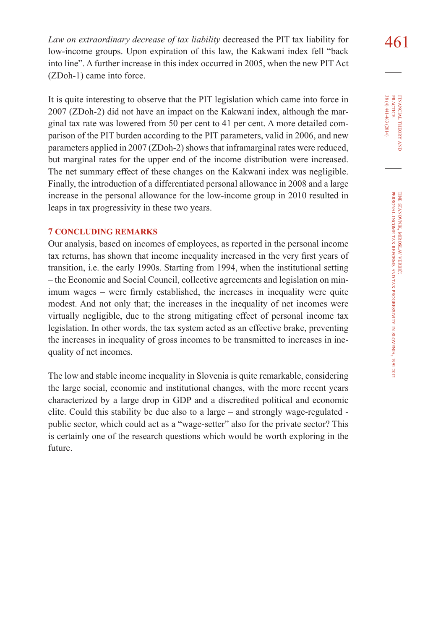*Law on extraordinary decrease of tax liability* decreased the PIT tax liability for  $\frac{461}{100}$ low-income groups. Upon expiration of this law, the Kakwani index fell "back into line". A further increase in this index occurred in 2005, when the new PIT Act (ZDoh-1) came into force.

It is quite interesting to observe that the PIT legislation which came into force in 2007 (ZDoh-2) did not have an impact on the Kakwani index, although the marginal tax rate was lowered from 50 per cent to 41 per cent. A more detailed comparison of the PIT burden according to the PIT parameters, valid in 2006, and new parameters applied in 2007 (ZDoh-2) shows that inframarginal rates were reduced, but marginal rates for the upper end of the income distribution were increased. The net summary effect of these changes on the Kakwani index was negligible. Finally, the introduction of a differentiated personal allowance in 2008 and a large increase in the personal allowance for the low-income group in 2010 resulted in leaps in tax progressivity in these two years.

### **7 CONCLUDING REMARKS**

Our analysis, based on incomes of employees, as reported in the personal income tax returns, has shown that income inequality increased in the very first years of transition, i.e. the early 1990s. Starting from 1994, when the institutional setting – the Economic and Social Council, collective agreements and legislation on minimum wages – were firmly established, the increases in inequality were quite modest. And not only that; the increases in the inequality of net incomes were virtually negligible, due to the strong mitigating effect of personal income tax legislation. In other words, the tax system acted as an effective brake, preventing the increases in inequality of gross incomes to be transmitted to increases in inequality of net incomes.

The low and stable income inequality in Slovenia is quite remarkable, considering the large social, economic and institutional changes, with the more recent years characterized by a large drop in GDP and a discredited political and economic elite. Could this stability be due also to a large – and strongly wage-regulated public sector, which could act as a "wage-setter" also for the private sector? This is certainly one of the research questions which would be worth exploring in the future.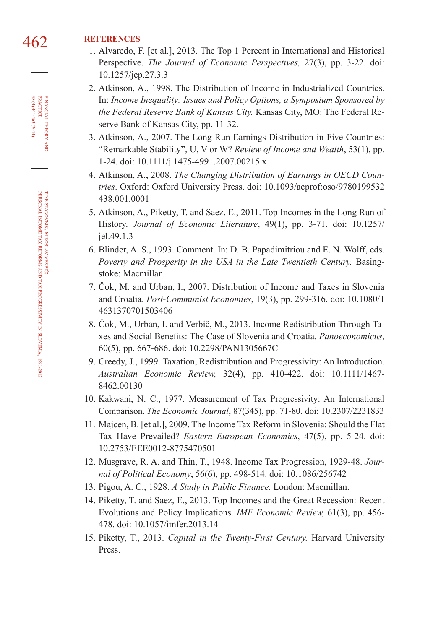# 462 **REFERENCES**

- 1. Alvaredo, F. [et al.], 2013. The Top 1 Percent in International and Historical Perspective. *The Journal of Economic Perspectives,* 27(3), pp. 3-22. doi: [10.1257/jep.27.3.](http://dx.doi.org/10.1257/jep.27.3.3)3
- 2. Atkinson, A., 1998. The Distribution of Income in Industrialized Countries. In: *Income Inequality: Issues and Policy Options, a Symposium Sponsored by the Federal Reserve Bank of Kansas City.* Kansas City, MO: The Federal Reserve Bank of Kansas City, pp. 11-32.
- 3. Atkinson, A., 2007. The Long Run Earnings Distribution in Five Countries: "Remarkable Stability", U, V or W? *Review of Income and Wealth*, 53(1), pp. 1-24. doi: [10.1111/j.1475-4991.2007.00215.](http://dx.doi.org/10.1111/j.1475-4991.2007.00215.x)x
- 4. Atkinson, A., 2008. *The Changing Distribution of Earnings in OECD Countries*. Oxford: Oxford University Press. doi: [10.1093/acprof:oso/9780199532](http://dx.doi.org/10.1093/acprof:oso/9780199532438.001.0001) [438.001.000](http://dx.doi.org/10.1093/acprof:oso/9780199532438.001.0001)1
- 5. Atkinson, A., Piketty, T. and Saez, E., 2011. Top Incomes in the Long Run of History. *Journal of Economic Literature*, 49(1), pp. 3-71. doi: [10.1257/](http://dx.doi.org/10.1257/jel.49.1.3) [jel.49.1.](http://dx.doi.org/10.1257/jel.49.1.3)3
- 6. Blinder, A. S., 1993. Comment. In: D. B. Papadimitriou and E. N. Wolff, eds. *Poverty and Prosperity in the USA in the Late Twentieth Century. Basing*stoke: Macmillan.
- 7. Čok, M. and Urban, I., 2007. Distribution of Income and Taxes in Slovenia and Croatia. *Post-Communist Economies*, 19(3), pp. 299-316. doi: [10.1080/1](http://dx.doi.org/10.1080/14631370701503406) [463137070150340](http://dx.doi.org/10.1080/14631370701503406)6
- 8. Čok, M., Urban, I. and Verbič, M., 2013. Income Redistribution Through Taxes and Social Benefits: The Case of Slovenia and Croatia. *Panoeconomicus*, 60(5), pp. 667-686. doi: [10.2298/PAN1305667](http://dx.doi.org/10.2298/PAN1305667C)C
- 9. Creedy, J., 1999. Taxation, Redistribution and Progressivity: An Introduction. *Australian Economic Review,* 32(4), pp. 410-422. doi: [10.1111/1467-](http://dx.doi.org/10.1111/1467-8462.00130) [8462.0013](http://dx.doi.org/10.1111/1467-8462.00130)0
- 10. Kakwani, N. C., 1977. Measurement of Tax Progressivity: An International Comparison. *The Economic Journal*, 87(345), pp. 71-80. doi: [10.2307/223183](http://dx.doi.org/10.2307/2231833)3
- 11. Majcen, B. [et al.], 2009. The Income Tax Reform in Slovenia: Should the Flat Tax Have Prevailed? *Eastern European Economics*, 47(5), pp. 5-24. doi: [10.2753/EEE0012-877547050](http://dx.doi.org/10.2753/EEE0012-8775470501)1
- 12. Musgrave, R. A. and Thin, T., 1948. Income Tax Progression, 1929-48. *Journal of Political Economy*, 56(6), pp. 498-514. doi: [10.1086/25674](http://dx.doi.org/10.1086/256742)2
- 13. Pigou, A. C., 1928. *A Study in Public Finance.* London: Macmillan.
- 14. Piketty, T. and Saez, E., 2013. Top Incomes and the Great Recession: Recent Evolutions and Policy Implications. *IMF Economic Review,* 61(3), pp. 456- 478. doi: [10.1057/imfer.2013.14](http://dx.doi.org/10.1057/imfer.2013.14)
- 15. Piketty, T., 2013. *Capital in the Twenty-First Century.* Harvard University Press.

financial theory FINANCIAL THEORY AND<br>PRACTICE<br>38 (4) 441-463 (2014) 38 (4) 441-463 (2014) practice